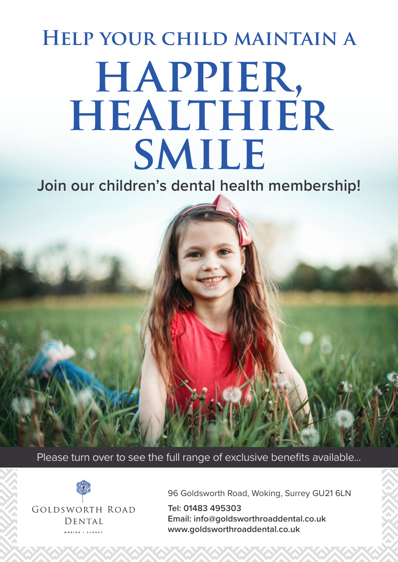# **happier, healthier smile Help your child maintain a**

**Join our children's dental health membership!**

Please turn over to see the full range of exclusive benefits available...



96 Goldsworth Road, Woking, Surrey GU21 6LN

**Tel: 01483 495303 Email: info@goldsworthroaddental.co.uk www.goldsworthroaddental.co.uk**